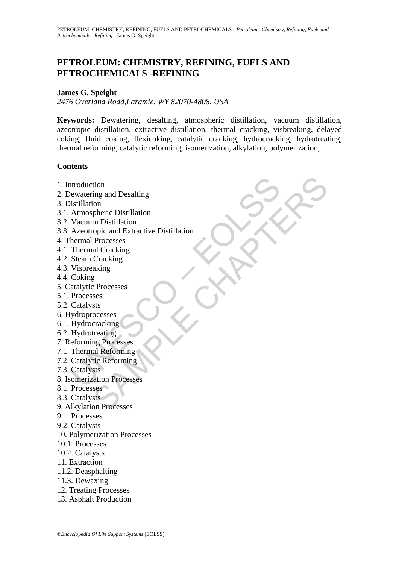# **PETROLEUM: CHEMISTRY, REFINING, FUELS AND PETROCHEMICALS -REFINING**

#### **James G. Speight**

*2476 Overland Road,Laramie, WY 82070-4808, USA* 

**Keywords:** Dewatering, desalting, atmospheric distillation, vacuum distillation, azeotropic distillation, extractive distillation, thermal cracking, visbreaking, delayed coking, fluid coking, flexicoking, catalytic cracking, hydrocracking, hydrotreating, thermal reforming, catalytic reforming, isomerization, alkylation, polymerization,

#### **Contents**

- ntroduction<br>
ewatering and Desalting<br>
istillation<br>
Atmospheric Distillation<br>
Vacuum Distillation<br>
Vacuum Distillation<br>
Arearotropic and Extractive Distillation<br>
hermal Processes<br>
Thermal Cracking<br>
Usbreaking<br>
Usbreaking<br>
U 1. Introduction 2. Dewatering and Desalting
- 3. Distillation
- 3.1. Atmospheric Distillation
- 3.2. Vacuum Distillation
- tion<br>m and Desalting<br>pheric Distillation<br>m Distillation<br>m Processes<br>correcting<br>Cracking<br>Cracking<br>dating<br>sating<br>ses<br>ses<br>ts processes<br>and Reforming<br>treating<br>rate and Reforming<br>sis<br>station Processes<br>ses<br>stating<br>sis<br>to Reformi 3.3. Azeotropic and Extractive Distillation
- 4. Thermal Processes
- 4.1. Thermal Cracking
- 4.2. Steam Cracking
- 4.3. Visbreaking
- 4.4. Coking
- 5. Catalytic Processes
- 5.1. Processes
- 5.2. Catalysts
- 6. Hydroprocesses
- 6.1. Hydrocracking
- 6.2. Hydrotreating
- 7. Reforming Processes
- 7.1. Thermal Reforming
- 7.2. Catalytic Reforming
- 7.3. Catalysts
- 8. Isomerization Processes
- 8.1. Processes
- 8.3. Catalysts
- 9. Alkylation Processes
- 9.1. Processes
- 9.2. Catalysts
- 10. Polymerization Processes
- 10.1. Processes
- 10.2. Catalysts
- 11. Extraction
- 11.2. Deasphalting
- 11.3. Dewaxing
- 12. Treating Processes
- 13. Asphalt Production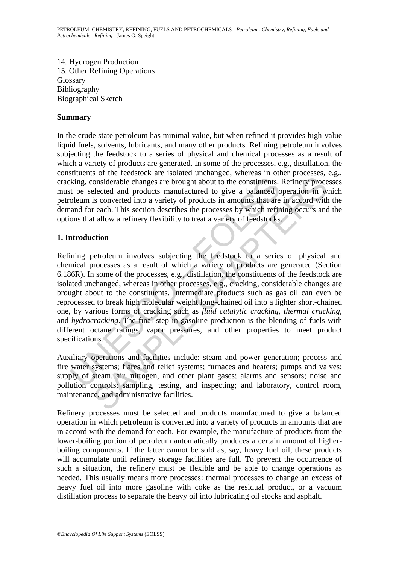14. Hydrogen Production 15. Other Refining Operations **Glossary** Bibliography Biographical Sketch

## **Summary**

In the crude state petroleum has minimal value, but when refined it provides high-value liquid fuels, solvents, lubricants, and many other products. Refining petroleum involves subjecting the feedstock to a series of physical and chemical processes as a result of which a variety of products are generated. In some of the processes, e.g., distillation, the constituents of the feedstock are isolated unchanged, whereas in other processes, e.g., cracking, considerable changes are brought about to the constituents. Refinery processes must be selected and products manufactured to give a balanced operation in which petroleum is converted into a variety of products in amounts that are in accord with the demand for each. This section describes the processes by which refining occurs and the options that allow a refinery flexibility to treat a variety of feedstocks.

## **1. Introduction**

king, considerable changes are brought about to the constituents.<br>
t be selected and products manufactured to give a balanced coleum is converted into a variety of products in amounts that are<br>
and for each. This section d onsiderable changes are brought about to the constituents. Refinery processes on credit and products manufactured to give a balanced operation in when the reach. This second one variety of products in amounts that are in a Refining petroleum involves subjecting the feedstock to a series of physical and chemical processes as a result of which a variety of products are generated (Section 6.186R). In some of the processes, e.g., distillation, the constituents of the feedstock are isolated unchanged, whereas in other processes, e.g., cracking, considerable changes are brought about to the constituents. Intermediate products such as gas oil can even be reprocessed to break high molecular weight long-chained oil into a lighter short-chained one, by various forms of cracking such as *fluid catalytic cracking*, *thermal cracking*, and *hydrocracking*. The final step in gasoline production is the blending of fuels with different octane ratings, vapor pressures, and other properties to meet product specifications.

Auxiliary operations and facilities include: steam and power generation; process and fire water systems; flares and relief systems; furnaces and heaters; pumps and valves; supply of steam, air, nitrogen, and other plant gases; alarms and sensors; noise and pollution controls; sampling, testing, and inspecting; and laboratory, control room, maintenance, and administrative facilities.

Refinery processes must be selected and products manufactured to give a balanced operation in which petroleum is converted into a variety of products in amounts that are in accord with the demand for each. For example, the manufacture of products from the lower-boiling portion of petroleum automatically produces a certain amount of higherboiling components. If the latter cannot be sold as, say, heavy fuel oil, these products will accumulate until refinery storage facilities are full. To prevent the occurrence of such a situation, the refinery must be flexible and be able to change operations as needed. This usually means more processes: thermal processes to change an excess of heavy fuel oil into more gasoline with coke as the residual product, or a vacuum distillation process to separate the heavy oil into lubricating oil stocks and asphalt.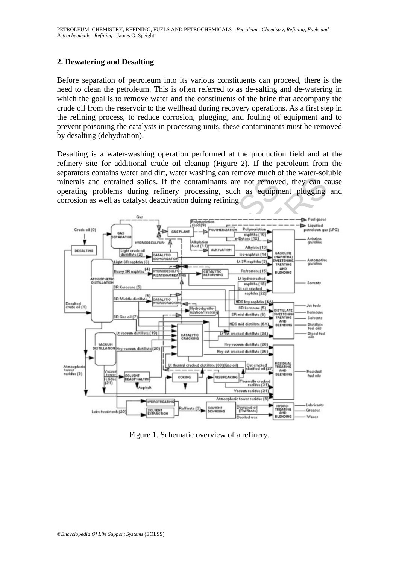### **2. Dewatering and Desalting**

Before separation of petroleum into its various constituents can proceed, there is the need to clean the petroleum. This is often referred to as de-salting and de-watering in which the goal is to remove water and the constituents of the brine that accompany the crude oil from the reservoir to the wellhead during recovery operations. As a first step in the refining process, to reduce corrosion, plugging, and fouling of equipment and to prevent poisoning the catalysts in processing units, these contaminants must be removed by desalting (dehydration).

Desalting is a water-washing operation performed at the production field and at the refinery site for additional crude oil cleanup (Figure 2). If the petroleum from the separators contains water and dirt, water washing can remove much of the water-soluble minerals and entrained solids. If the contaminants are not removed, they can cause operating problems during refinery processing, such as equipment plugging and corrosion as well as catalyst deactivation duirng refining.



Figure 1. Schematic overview of a refinery.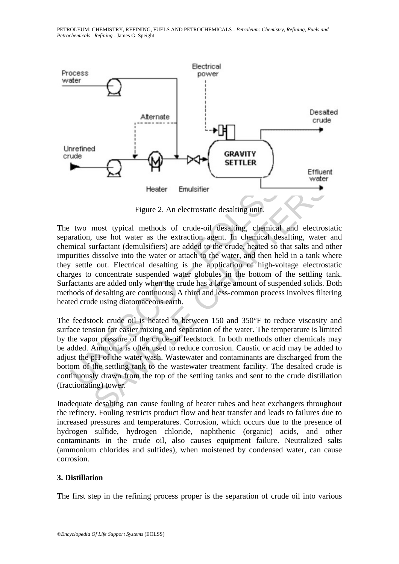PETROLEUM: CHEMISTRY, REFINING, FUELS AND PETROCHEMICALS - *Petroleum: Chemistry, Refining, Fuels and Petrochemicals –Refining* - James G. Speight



Figure 2. An electrostatic desalting unit.

Heater Emulsifier<br>
Figure 2. An electrostatic desalting unit.<br>
two most typical methods of crude-oil desalting, chemical<br>
anical surfactant (demulsifiers) are added to the crude, heated so t<br>
urities dissolve into the wate We be the Emulsifier<br>
Figure 2. An electrostatic desalting unit<br>
Insular Emulsifier<br>
Use the water as the extraction agent. In chemical and electros<br>
uractant (demulsifiers) are added to the crude, heated so that salts and The two most typical methods of crude-oil desalting, chemical and electrostatic separation, use hot water as the extraction agent. In chemical desalting, water and chemical surfactant (demulsifiers) are added to the crude, heated so that salts and other impurities dissolve into the water or attach to the water, and then held in a tank where they settle out. Electrical desalting is the application of high-voltage electrostatic charges to concentrate suspended water globules in the bottom of the settling tank. Surfactants are added only when the crude has a large amount of suspended solids. Both methods of desalting are continuous. A third and less-common process involves filtering heated crude using diatomaceous earth.

The feedstock crude oil is heated to between 150 and 350°F to reduce viscosity and surface tension for easier mixing and separation of the water. The temperature is limited by the vapor pressure of the crude-oil feedstock. In both methods other chemicals may be added. Ammonia is often used to reduce corrosion. Caustic or acid may be added to adjust the pH of the water wash. Wastewater and contaminants are discharged from the bottom of the settling tank to the wastewater treatment facility. The desalted crude is continuously drawn from the top of the settling tanks and sent to the crude distillation (fractionating) tower.

Inadequate desalting can cause fouling of heater tubes and heat exchangers throughout the refinery. Fouling restricts product flow and heat transfer and leads to failures due to increased pressures and temperatures. Corrosion, which occurs due to the presence of hydrogen sulfide, hydrogen chloride, naphthenic (organic) acids, and other contaminants in the crude oil, also causes equipment failure. Neutralized salts (ammonium chlorides and sulfides), when moistened by condensed water, can cause corrosion.

## **3. Distillation**

The first step in the refining process proper is the separation of crude oil into various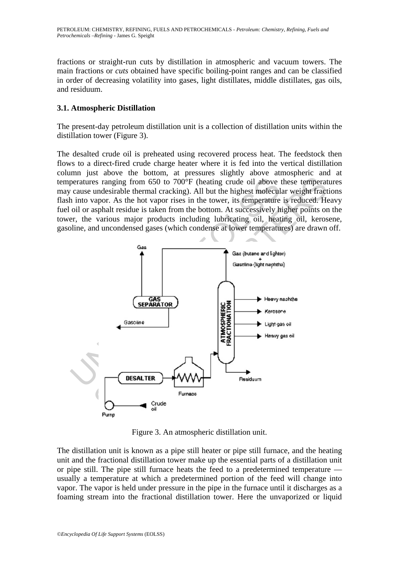fractions or straight-run cuts by distillation in atmospheric and vacuum towers. The main fractions or *cuts* obtained have specific boiling-point ranges and can be classified in order of decreasing volatility into gases, light distillates, middle distillates, gas oils, and residuum.

## **3.1. Atmospheric Distillation**

The present-day petroleum distillation unit is a collection of distillation units within the distillation tower (Figure 3).

The desalted crude oil is preheated using recovered process heat. The feedstock then flows to a direct-fired crude charge heater where it is fed into the vertical distillation column just above the bottom, at pressures slightly above atmospheric and at temperatures ranging from 650 to 700°F (heating crude oil above these temperatures may cause undesirable thermal cracking). All but the highest molecular weight fractions flash into vapor. As the hot vapor rises in the tower, its temperature is reduced. Heavy fuel oil or asphalt residue is taken from the bottom. At successively higher points on the tower, the various major products including lubricating oil, heating oil, kerosene, gasoline, and uncondensed gases (which condense at lower temperatures) are drawn off.



Figure 3. An atmospheric distillation unit.

The distillation unit is known as a pipe still heater or pipe still furnace, and the heating unit and the fractional distillation tower make up the essential parts of a distillation unit or pipe still. The pipe still furnace heats the feed to a predetermined temperature usually a temperature at which a predetermined portion of the feed will change into vapor. The vapor is held under pressure in the pipe in the furnace until it discharges as a foaming stream into the fractional distillation tower. Here the unvaporized or liquid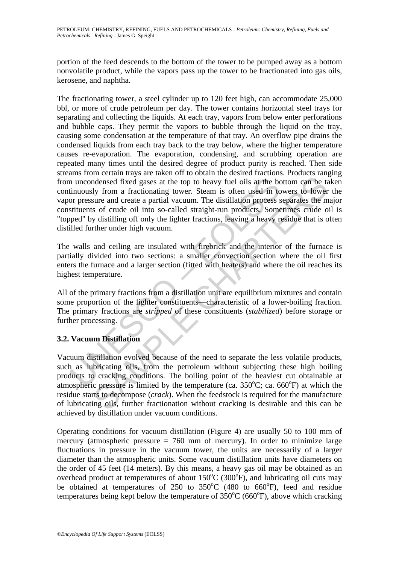portion of the feed descends to the bottom of the tower to be pumped away as a bottom nonvolatile product, while the vapors pass up the tower to be fractionated into gas oils, kerosene, and naphtha.

In uncondensed fixed gases at the top to heavy fuel oils at the both<br>inuously from a fractionating tower. Steam is often used in to<br>propositivents of crude oil into so-called straight-run products. Some<br>pred" by distilling The fractionating tower, a steel cylinder up to 120 feet high, can accommodate 25,000 bbl, or more of crude petroleum per day. The tower contains horizontal steel trays for separating and collecting the liquids. At each tray, vapors from below enter perforations and bubble caps. They permit the vapors to bubble through the liquid on the tray, causing some condensation at the temperature of that tray. An overflow pipe drains the condensed liquids from each tray back to the tray below, where the higher temperature causes re-evaporation. The evaporation, condensing, and scrubbing operation are repeated many times until the desired degree of product purity is reached. Then side streams from certain trays are taken off to obtain the desired fractions. Products ranging from uncondensed fixed gases at the top to heavy fuel oils at the bottom can be taken continuously from a fractionating tower. Steam is often used in towers to lower the vapor pressure and create a partial vacuum. The distillation process separates the major constituents of crude oil into so-called straight-run products. Sometimes crude oil is "topped" by distilling off only the lighter fractions, leaving a heavy residue that is often distilled further under high vacuum.

The walls and ceiling are insulated with firebrick and the interior of the furnace is partially divided into two sections: a smaller convection section where the oil first enters the furnace and a larger section (fitted with heaters) and where the oil reaches its highest temperature.

All of the primary fractions from a distillation unit are equilibrium mixtures and contain some proportion of the lighter constituents—characteristic of a lower-boiling fraction. The primary fractions are *stripped* of these constituents (*stabilized*) before storage or further processing.

# **3.2. Vacuum Distillation**

indensed fixed gases at the top to heavy fuel oils at the bottom can be to<br>didensed fixed gases at the top to heavy fuel oils at the bottom can be te<br>ly from a fractionating tower. Steam is often used in towers to lower<br>su Vacuum distillation evolved because of the need to separate the less volatile products, such as lubricating oils, from the petroleum without subjecting these high boiling products to cracking conditions. The boiling point of the heaviest cut obtainable at atmospheric pressure is limited by the temperature (ca.  $350^{\circ}$ C; ca.  $660^{\circ}$ F) at which the residue starts to decompose (*crack*). When the feedstock is required for the manufacture of lubricating oils, further fractionation without cracking is desirable and this can be achieved by distillation under vacuum conditions.

Operating conditions for vacuum distillation (Figure 4) are usually 50 to 100 mm of mercury (atmospheric pressure  $= 760$  mm of mercury). In order to minimize large fluctuations in pressure in the vacuum tower, the units are necessarily of a larger diameter than the atmospheric units. Some vacuum distillation units have diameters on the order of 45 feet (14 meters). By this means, a heavy gas oil may be obtained as an overhead product at temperatures of about  $150^{\circ}$ C (300 $^{\circ}$ F), and lubricating oil cuts may be obtained at temperatures of 250 to  $350^{\circ}$ C (480 to  $660^{\circ}$ F), feed and residue temperatures being kept below the temperature of  $350^{\circ}$ C (660 $^{\circ}$ F), above which cracking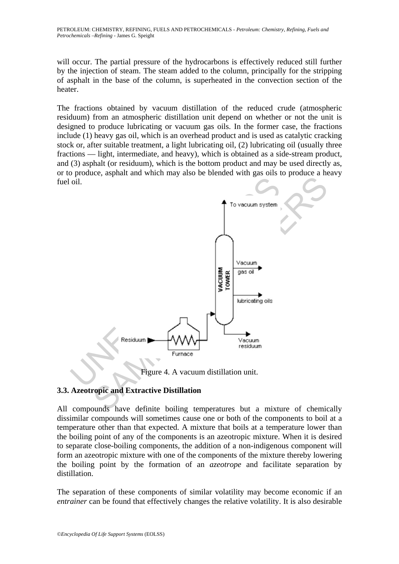will occur. The partial pressure of the hydrocarbons is effectively reduced still further by the injection of steam. The steam added to the column, principally for the stripping of asphalt in the base of the column, is superheated in the convection section of the heater.

The fractions obtained by vacuum distillation of the reduced crude (atmospheric residuum) from an atmospheric distillation unit depend on whether or not the unit is designed to produce lubricating or vacuum gas oils. In the former case, the fractions include (1) heavy gas oil, which is an overhead product and is used as catalytic cracking stock or, after suitable treatment, a light lubricating oil, (2) lubricating oil (usually three fractions — light, intermediate, and heavy), which is obtained as a side-stream product, and (3) asphalt (or residuum), which is the bottom product and may be used directly as, or to produce, asphalt and which may also be blended with gas oils to produce a heavy fuel oil.



Figure 4. A vacuum distillation unit.

# **3.3. Azeotropic and Extractive Distillation**

All compounds have definite boiling temperatures but a mixture of chemically dissimilar compounds will sometimes cause one or both of the components to boil at a temperature other than that expected. A mixture that boils at a temperature lower than the boiling point of any of the components is an azeotropic mixture. When it is desired to separate close-boiling components, the addition of a non-indigenous component will form an azeotropic mixture with one of the components of the mixture thereby lowering the boiling point by the formation of an *azeotrope* and facilitate separation by distillation.

The separation of these components of similar volatility may become economic if an *entrainer* can be found that effectively changes the relative volatility. It is also desirable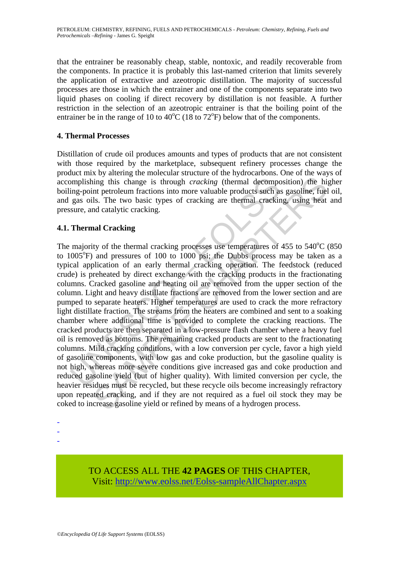that the entrainer be reasonably cheap, stable, nontoxic, and readily recoverable from the components. In practice it is probably this last-named criterion that limits severely the application of extractive and azeotropic distillation. The majority of successful processes are those in which the entrainer and one of the components separate into two liquid phases on cooling if direct recovery by distillation is not feasible. A further restriction in the selection of an azeotropic entrainer is that the boiling point of the entrainer be in the range of 10 to  $40^{\circ}$ C (18 to 72 $^{\circ}$ F) below that of the components.

## **4. Thermal Processes**

Distillation of crude oil produces amounts and types of products that are not consistent with those required by the marketplace, subsequent refinery processes change the product mix by altering the molecular structure of the hydrocarbons. One of the ways of accomplishing this change is through *cracking* (thermal decomposition) the higher boiling-point petroleum fractions into more valuable products such as gasoline, fuel oil, and gas oils. The two basic types of cracking are thermal cracking, using heat and pressure, and catalytic cracking.

### **4.1. Thermal Cracking**

mylishing this change is through *cracking* (thermal decomporary-<br>ing-point petroleum fractions into more valuable products such as<br>gas oils. The two basic types of cracking are thermal crackin<br>sure, and catalytic cracking ing this change is through *cracking* (thermal decomposition) the hint petroleum fractions into more valuable products such as gasoline, fuel sls. The two basic types of cracking are thermal cracking, using heat of cataly The majority of the thermal cracking processes use temperatures of  $455$  to  $540^{\circ}$ C  $(850)$ to  $1005^{\circ}$ F) and pressures of 100 to 1000 psi; the Dubbs process may be taken as a typical application of an early thermal cracking operation. The feedstock (reduced crude) is preheated by direct exchange with the cracking products in the fractionating columns. Cracked gasoline and heating oil are removed from the upper section of the column. Light and heavy distillate fractions are removed from the lower section and are pumped to separate heaters. Higher temperatures are used to crack the more refractory light distillate fraction. The streams from the heaters are combined and sent to a soaking chamber where additional time is provided to complete the cracking reactions. The cracked products are then separated in a low-pressure flash chamber where a heavy fuel oil is removed as bottoms. The remaining cracked products are sent to the fractionating columns. Mild cracking conditions, with a low conversion per cycle, favor a high yield of gasoline components, with low gas and coke production, but the gasoline quality is not high, whereas more severe conditions give increased gas and coke production and reduced gasoline yield (but of higher quality). With limited conversion per cycle, the heavier residues must be recycled, but these recycle oils become increasingly refractory upon repeated cracking, and if they are not required as a fuel oil stock they may be coked to increase gasoline yield or refined by means of a hydrogen process.

- -
- -
- -

TO ACCESS ALL THE **42 PAGES** OF THIS CHAPTER, Visit[: http://www.eolss.net/Eolss-sampleAllChapter.aspx](https://www.eolss.net/ebooklib/sc_cart.aspx?File=E6-186-02)